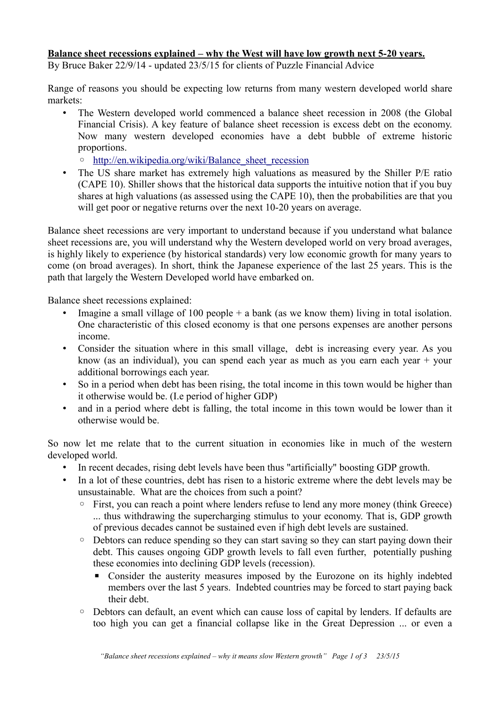## **Balance sheet recessions explained – why the West will have low growth next 5-20 years.**

By Bruce Baker 22/9/14 - updated 23/5/15 for clients of Puzzle Financial Advice

Range of reasons you should be expecting low returns from many western developed world share markets:

• The Western developed world commenced a balance sheet recession in 2008 (the Global Financial Crisis). A key feature of balance sheet recession is excess debt on the economy. Now many western developed economies have a debt bubble of extreme historic proportions.

◦ [http://en.wikipedia.org/wiki/Balance\\_sheet\\_recession](http://en.wikipedia.org/wiki/Balance_sheet_recession)

• The US share market has extremely high valuations as measured by the Shiller P/E ratio (CAPE 10). Shiller shows that the historical data supports the intuitive notion that if you buy shares at high valuations (as assessed using the CAPE 10), then the probabilities are that you will get poor or negative returns over the next 10-20 years on average.

Balance sheet recessions are very important to understand because if you understand what balance sheet recessions are, you will understand why the Western developed world on very broad averages, is highly likely to experience (by historical standards) very low economic growth for many years to come (on broad averages). In short, think the Japanese experience of the last 25 years. This is the path that largely the Western Developed world have embarked on.

Balance sheet recessions explained:

- Imagine a small village of 100 people  $+$  a bank (as we know them) living in total isolation. One characteristic of this closed economy is that one persons expenses are another persons income.
- Consider the situation where in this small village, debt is increasing every year. As you know (as an individual), you can spend each year as much as you earn each year + your additional borrowings each year.
- So in a period when debt has been rising, the total income in this town would be higher than it otherwise would be. (I.e period of higher GDP)
- and in a period where debt is falling, the total income in this town would be lower than it otherwise would be.

So now let me relate that to the current situation in economies like in much of the western developed world.

- In recent decades, rising debt levels have been thus "artificially" boosting GDP growth.
- In a lot of these countries, debt has risen to a historic extreme where the debt levels may be unsustainable. What are the choices from such a point?
	- First, you can reach a point where lenders refuse to lend any more money (think Greece) ... thus withdrawing the supercharging stimulus to your economy. That is, GDP growth of previous decades cannot be sustained even if high debt levels are sustained.
	- Debtors can reduce spending so they can start saving so they can start paying down their debt. This causes ongoing GDP growth levels to fall even further, potentially pushing these economies into declining GDP levels (recession).
		- Consider the austerity measures imposed by the Eurozone on its highly indebted members over the last 5 years. Indebted countries may be forced to start paying back their debt.
	- Debtors can default, an event which can cause loss of capital by lenders. If defaults are too high you can get a financial collapse like in the Great Depression ... or even a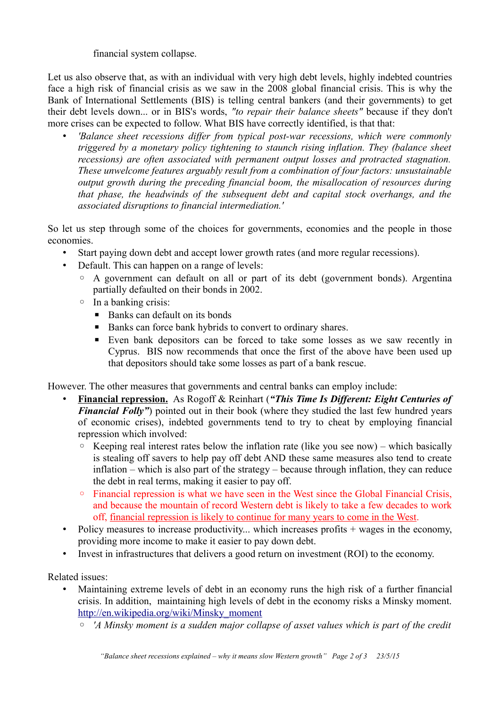financial system collapse.

Let us also observe that, as with an individual with very high debt levels, highly indebted countries face a high risk of financial crisis as we saw in the 2008 global financial crisis. This is why the Bank of International Settlements (BIS) is telling central bankers (and their governments) to get their debt levels down... or in BIS's words, *"to repair their balance sheets"* because if they don't more crises can be expected to follow. What BIS have correctly identified, is that that:

• *'Balance sheet recessions differ from typical post-war recessions, which were commonly triggered by a monetary policy tightening to staunch rising inflation. They (balance sheet recessions) are often associated with permanent output losses and protracted stagnation. These unwelcome features arguably result from a combination of four factors: unsustainable output growth during the preceding financial boom, the misallocation of resources during that phase, the headwinds of the subsequent debt and capital stock overhangs, and the associated disruptions to financial intermediation.'*

So let us step through some of the choices for governments, economies and the people in those economies.

- Start paying down debt and accept lower growth rates (and more regular recessions).
- Default. This can happen on a range of levels:
	- A government can default on all or part of its debt (government bonds). Argentina partially defaulted on their bonds in 2002.
	- In a banking crisis:
		- Banks can default on its bonds
		- Banks can force bank hybrids to convert to ordinary shares.
		- Even bank depositors can be forced to take some losses as we saw recently in Cyprus. BIS now recommends that once the first of the above have been used up that depositors should take some losses as part of a bank rescue.

However. The other measures that governments and central banks can employ include:

- • **Financial repression.** As Rogoff & Reinhart (*"This Time Is Different: Eight Centuries of Financial Folly"*) pointed out in their book (where they studied the last few hundred years of economic crises), indebted governments tend to try to cheat by employing financial repression which involved:
	- Keeping real interest rates below the inflation rate (like you see now) which basically is stealing off savers to help pay off debt AND these same measures also tend to create inflation – which is also part of the strategy – because through inflation, they can reduce the debt in real terms, making it easier to pay off.
	- Financial repression is what we have seen in the West since the Global Financial Crisis, and because the mountain of record Western debt is likely to take a few decades to work off, financial repression is likely to continue for many years to come in the West.
- Policy measures to increase productivity... which increases profits + wages in the economy, providing more income to make it easier to pay down debt.
- Invest in infrastructures that delivers a good return on investment (ROI) to the economy.

Related issues:

- Maintaining extreme levels of debt in an economy runs the high risk of a further financial crisis. In addition, maintaining high levels of debt in the economy risks a Minsky moment. [http://en.wikipedia.org/wiki/Minsky\\_moment](http://en.wikipedia.org/wiki/Minsky_moment)
	- *'A Minsky moment is a sudden major collapse of asset values which is part of the credit*